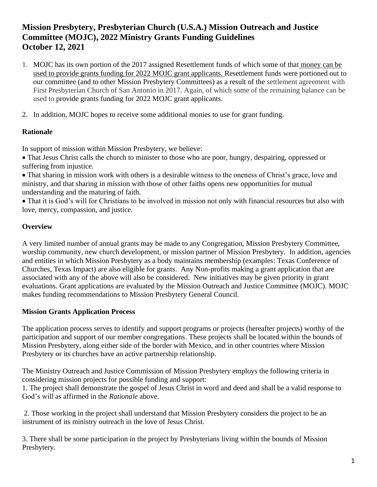# **Mission Presbytery, Presbyterian Church (U.S.A.) Mission Outreach and Justice Committee (MOJC), 2022 Ministry Grants Funding Guidelines October 12, 2021**

- 1. MOJC has its own portion of the 2017 assigned Resettlement funds of which some of that money can be used to provide grants funding for 2022 MOJC grant applicants. Resettlement funds were portioned out to our committee (and to other Mission Presbytery Committees) as a result of the settlement agreement with First Presbyterian Church of San Antonio in 2017. Again, of which some of the remaining balance can be used to provide grants funding for 2022 MOJC grant applicants.
- 2. In addition, MOJC hopes to receive some additional monies to use for grant funding.

#### **Rationale**

In support of mission within Mission Presbytery, we believe:

• That Jesus Christ calls the church to minister to those who are poor, hungry, despairing, oppressed or suffering from injustice.

• That sharing in mission work with others is a desirable witness to the oneness of Christ's grace, love and ministry, and that sharing in mission with those of other faiths opens new opportunities for mutual understanding and the maturing of faith.

• That it is God's will for Christians to be involved in mission not only with financial resources but also with love, mercy, compassion, and justice.

### **Overview**

A very limited number of annual grants may be made to any Congregation, Mission Presbytery Committee, worship community, new church development, or mission partner of Mission Presbytery. In addition, agencies and entities in which Mission Presbytery as a body maintains membership (examples: Texas Conference of Churches, Texas Impact) are also eligible for grants. Any Non-profits making a grant application that are associated with any of the above will also be considered. New initiatives may be given priority in grant evaluations. Grant applications are evaluated by the Mission Outreach and Justice Committee (MOJC). MOJC makes funding recommendations to Mission Presbytery General Council.

## **Mission Grants Application Process**

The application process serves to identify and support programs or projects (hereafter projects) worthy of the participation and support of our member congregations. These projects shall be located within the bounds of Mission Presbytery, along either side of the border with Mexico, and in other countries where Mission Presbytery or its churches have an active partnership relationship.

The Ministry Outreach and Justice Commission of Mission Presbytery employs the following criteria in considering mission projects for possible funding and support:

1. The project shall demonstrate the gospel of Jesus Christ in word and deed and shall be a valid response to God's will as affirmed in the *Rationale* above.

2. Those working in the project shall understand that Mission Presbytery considers the project to be an instrument of its ministry outreach in the love of Jesus Christ.

3. There shall be some participation in the project by Presbyterians living within the bounds of Mission Presbytery.